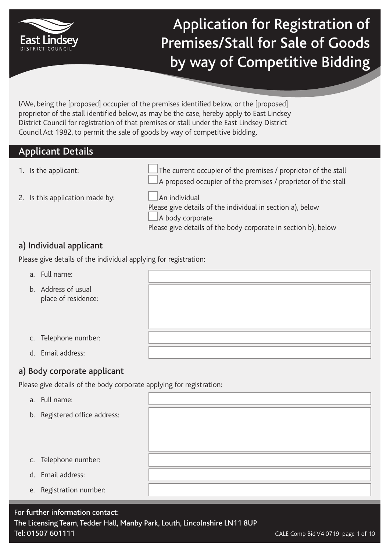

## Application for Registration of Premises/Stall for Sale of Goods by way of Competitive Bidding

I/We, being the [proposed] occupier of the premises identified below, or the [proposed] proprietor of the stall identified below, as may be the case, hereby apply to East Lindsey District Council for registration of that premises or stall under the East Lindsey District Council Act 1982, to permit the sale of goods by way of competitive bidding.

#### Applicant Details

1. Is the applicant:  $\Box$  The current occupier of the premises / proprietor of the stall A proposed occupier of the premises / proprietor of the stall

2. Is this application made by:  $\Box$  An individual

Please give details of the individual in section a), below A body corporate Please give details of the body corporate in section b), below

#### a) Individual applicant

Please give details of the individual applying for registration:

- a. Full name:
- b. Address of usual place of residence:
- c. Telephone number:
- d. Email address:

#### a) Body corporate applicant

Please give details of the body corporate applying for registration:

- a. Full name:
- b. Registered office address:
- c. Telephone number:
- d. Email address:
- e. Registration number: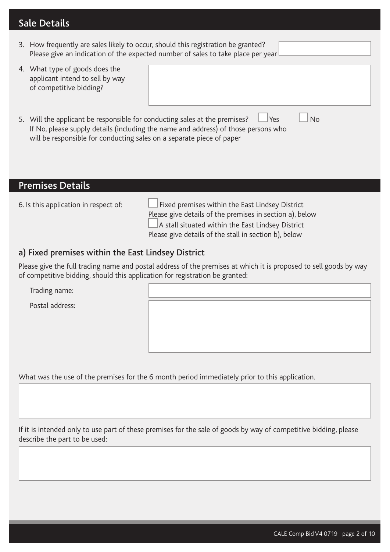## Sale Details

| 3. How frequently are sales likely to occur, should this registration be granted? | Please give an indication of the expected number of sales to take place per year |  |
|-----------------------------------------------------------------------------------|----------------------------------------------------------------------------------|--|
| 4. What type of goods does the                                                    |                                                                                  |  |

- applicant intend to sell by way of competitive bidding?
- 5. Will the applicant be responsible for conducting sales at the premises?  $\Box$  Yes  $\Box$  No If No, please supply details (including the name and address) of those persons who will be responsible for conducting sales on a separate piece of paper

#### Premises Details

6. Is this application in respect of:  $\Box$  Fixed premises within the East Lindsey District Please give details of the premises in section a), below A stall situated within the East Lindsey District Please give details of the stall in section b), below

#### a) Fixed premises within the East Lindsey District

Please give the full trading name and postal address of the premises at which it is proposed to sell goods by way of competitive bidding, should this application for registration be granted:

Trading name:

Postal address:

What was the use of the premises for the 6 month period immediately prior to this application.

If it is intended only to use part of these premises for the sale of goods by way of competitive bidding, please describe the part to be used: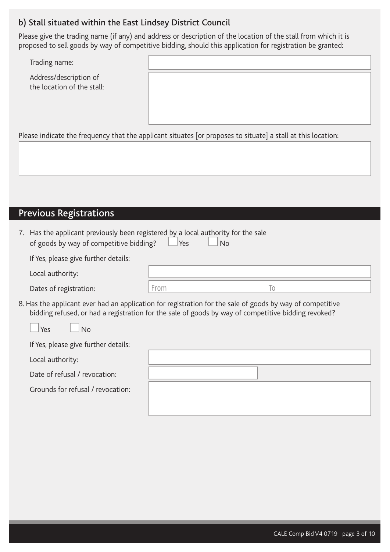#### b) Stall situated within the East Lindsey District Council

Please give the trading name (if any) and address or description of the location of the stall from which it is proposed to sell goods by way of competitive bidding, should this application for registration be granted:

Trading name:

Address/description of the location of the stall:

Please indicate the frequency that the applicant situates [or proposes to situate] a stall at this location:

## Previous Registrations

| 7. Has the applicant previously been registered by a local authority for the sale<br>of goods by way of competitive bidding?<br>Yes<br><b>No</b>                                                                 |      |                |  |  |  |
|------------------------------------------------------------------------------------------------------------------------------------------------------------------------------------------------------------------|------|----------------|--|--|--|
| If Yes, please give further details:                                                                                                                                                                             |      |                |  |  |  |
| Local authority:                                                                                                                                                                                                 |      |                |  |  |  |
| Dates of registration:                                                                                                                                                                                           | From | $\overline{0}$ |  |  |  |
| 8. Has the applicant ever had an application for registration for the sale of goods by way of competitive<br>bidding refused, or had a registration for the sale of goods by way of competitive bidding revoked? |      |                |  |  |  |
| Yes<br>N <sub>0</sub>                                                                                                                                                                                            |      |                |  |  |  |
| If Yes, please give further details:                                                                                                                                                                             |      |                |  |  |  |
| Local authority:                                                                                                                                                                                                 |      |                |  |  |  |

Date of refusal / revocation:

Grounds for refusal / revocation: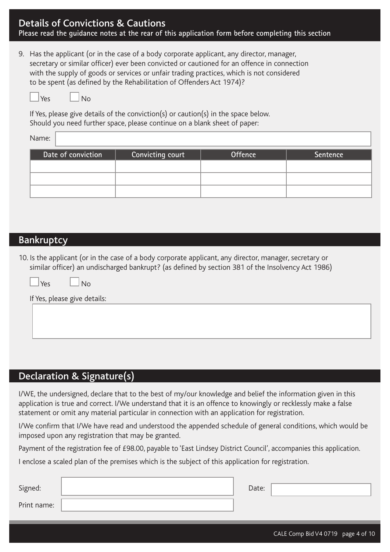### Details of Convictions & Cautions

**Please read the guidance notes at the rear of this application form before completing this section**

9. Has the applicant (or in the case of a body corporate applicant, any director, manager, secretary or similar officer) ever been convicted or cautioned for an offence in connection with the supply of goods or services or unfair trading practices, which is not considered to be spent (as defined by the Rehabilitation of Offenders Act 1974)?

| Voc |  |
|-----|--|

 $N<sub>0</sub>$ 

If Yes, please give details of the conviction(s) or caution(s) in the space below. Should you need further space, please continue on a blank sheet of paper:

Name:

| Date of conviction | Convicting court | <b>Offence</b> | Sentence |
|--------------------|------------------|----------------|----------|
|                    |                  |                |          |
|                    |                  |                |          |
|                    |                  |                |          |

#### **Bankruptcy**

10. Is the applicant (or in the case of a body corporate applicant, any director, manager, secretary or similar officer) an undischarged bankrupt? (as defined by section 381 of the Insolvency Act 1986)

|     |                              | ే | ╯ | ╯ |  |
|-----|------------------------------|---|---|---|--|
| Yes | ∣No                          |   |   |   |  |
|     | If Yes, please give details: |   |   |   |  |
|     |                              |   |   |   |  |
|     |                              |   |   |   |  |
|     |                              |   |   |   |  |

#### Declaration & Signature(s)

I/WE, the undersigned, declare that to the best of my/our knowledge and belief the information given in this application is true and correct. I/We understand that it is an offence to knowingly or recklessly make a false statement or omit any material particular in connection with an application for registration.

I/We confirm that I/We have read and understood the appended schedule of general conditions, which would be imposed upon any registration that may be granted.

Payment of the registration fee of £98.00, payable to 'East Lindsey District Council', accompanies this application.

I enclose a scaled plan of the premises which is the subject of this application for registration.

| Signed:     | Date: |  |
|-------------|-------|--|
| Print name: |       |  |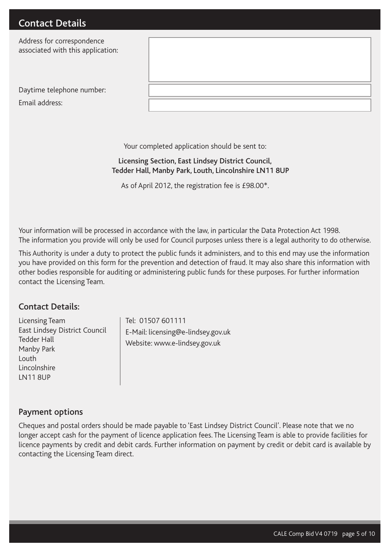Address for correspondence associated with this application:

| Daytime telephone number: |  |
|---------------------------|--|
| Email address:            |  |

Your completed application should be sent to:

#### Licensing Section, East Lindsey District Council, Tedder Hall, Manby Park, Louth, Lincolnshire LN11 8UP

As of April 2012, the registration fee is £98.00\*.

Your information will be processed in accordance with the law, in particular the Data Protection Act 1998. The information you provide will only be used for Council purposes unless there is a legal authority to do otherwise.

This Authority is under a duty to protect the public funds it administers, and to this end may use the information you have provided on this form for the prevention and detection of fraud. It may also share this information with other bodies responsible for auditing or administering public funds for these purposes. For further information contact the Licensing Team.

#### Contact Details:

Licensing Team East Lindsey District Council Tedder Hall Manby Park Louth Lincolnshire LN11 8UP

Tel: 01507 601111 E-Mail: licensing@e-lindsey.gov.uk Website: www.e-lindsey.gov.uk

#### Payment options

Cheques and postal orders should be made payable to 'East Lindsey District Council'. Please note that we no longer accept cash for the payment of licence application fees. The Licensing Team is able to provide facilities for licence payments by credit and debit cards. Further information on payment by credit or debit card is available by contacting the Licensing Team direct.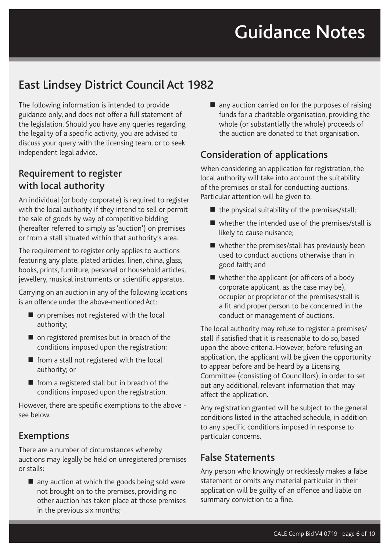# Guidance Notes

## East Lindsey District Council Act 1982

The following information is intended to provide guidance only, and does not offer a full statement of the legislation. Should you have any queries regarding the legality of a specific activity, you are advised to discuss your query with the licensing team, or to seek independent legal advice.

## Requirement to register with local authority

An individual (or body corporate) is required to register with the local authority if they intend to sell or permit the sale of goods by way of competitive bidding (hereafter referred to simply as 'auction') on premises or from a stall situated within that authority's area.

The requirement to register only applies to auctions featuring any plate, plated articles, linen, china, glass, books, prints, furniture, personal or household articles, jewellery, musical instruments or scientific apparatus.

Carrying on an auction in any of the following locations is an offence under the above-mentioned Act:

- on premises not registered with the local authority;
- on registered premises but in breach of the conditions imposed upon the registration;
- $\blacksquare$  from a stall not registered with the local authority; or
- **from a registered stall but in breach of the** conditions imposed upon the registration.

However, there are specific exemptions to the above see below.

## Exemptions

There are a number of circumstances whereby auctions may legally be held on unregistered premises or stalls:

■ any auction at which the goods being sold were not brought on to the premises, providing no other auction has taken place at those premises in the previous six months;

■ any auction carried on for the purposes of raising funds for a charitable organisation, providing the whole (or substantially the whole) proceeds of the auction are donated to that organisation.

## Consideration of applications

When considering an application for registration, the local authority will take into account the suitability of the premises or stall for conducting auctions. Particular attention will be given to:

- $\blacksquare$  the physical suitability of the premises/stall;
- whether the intended use of the premises/stall is likely to cause nuisance;
- whether the premises/stall has previously been used to conduct auctions otherwise than in good faith; and
- whether the applicant (or officers of a body corporate applicant, as the case may be), occupier or proprietor of the premises/stall is a fit and proper person to be concerned in the conduct or management of auctions.

The local authority may refuse to register a premises/ stall if satisfied that it is reasonable to do so, based upon the above criteria. However, before refusing an application, the applicant will be given the opportunity to appear before and be heard by a Licensing Committee (consisting of Councillors), in order to set out any additional, relevant information that may affect the application.

Any registration granted will be subject to the general conditions listed in the attached schedule, in addition to any specific conditions imposed in response to particular concerns.

## False Statements

Any person who knowingly or recklessly makes a false statement or omits any material particular in their application will be guilty of an offence and liable on summary conviction to a fine.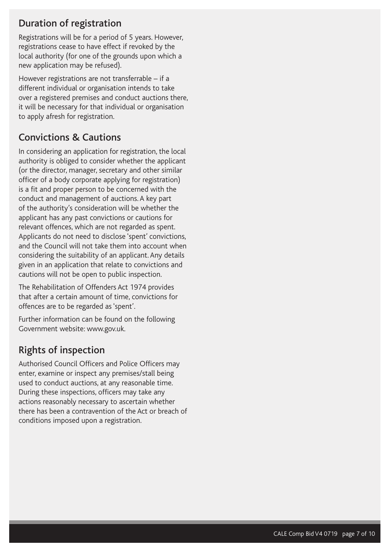## Duration of registration

Registrations will be for a period of 5 years. However, registrations cease to have effect if revoked by the local authority (for one of the grounds upon which a new application may be refused).

However registrations are not transferrable – if a different individual or organisation intends to take over a registered premises and conduct auctions there, it will be necessary for that individual or organisation to apply afresh for registration.

## Convictions & Cautions

In considering an application for registration, the local authority is obliged to consider whether the applicant (or the director, manager, secretary and other similar officer of a body corporate applying for registration) is a fit and proper person to be concerned with the conduct and management of auctions. A key part of the authority's consideration will be whether the applicant has any past convictions or cautions for relevant offences, which are not regarded as spent. Applicants do not need to disclose 'spent' convictions, and the Council will not take them into account when considering the suitability of an applicant. Any details given in an application that relate to convictions and cautions will not be open to public inspection.

The Rehabilitation of Offenders Act 1974 provides that after a certain amount of time, convictions for offences are to be regarded as 'spent'.

Further information can be found on the following Government website: www.gov.uk.

## Rights of inspection

Authorised Council Officers and Police Officers may enter, examine or inspect any premises/stall being used to conduct auctions, at any reasonable time. During these inspections, officers may take any actions reasonably necessary to ascertain whether there has been a contravention of the Act or breach of conditions imposed upon a registration.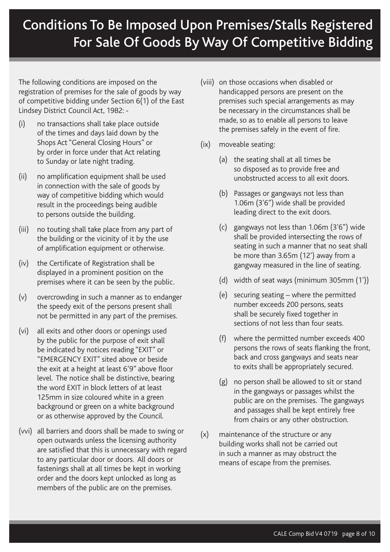## Conditions To Be Imposed Upon Premises/Stalls Registered For Sale Of Goods By Way Of Competitive Bidding

The following conditions are imposed on the registration of premises for the sale of goods by way of competitive bidding under Section 6(1) of the East Lindsey District Council Act, 1982: -

- (i) no transactions shall take place outside of the times and days laid down by the Shops Act "General Closing Hours" or by order in force under that Act relating to Sunday or late night trading.
- (ii) no amplification equipment shall be used in connection with the sale of goods by way of competitive bidding which would result in the proceedings being audible to persons outside the building.
- (iii) no touting shall take place from any part of the building or the vicinity of it by the use of amplification equipment or otherwise.
- (iv) the Certificate of Registration shall be displayed in a prominent position on the premises where it can be seen by the public.
- (v) overcrowding in such a manner as to endanger the speedy exit of the persons present shall not be permitted in any part of the premises.
- (vi) all exits and other doors or openings used by the public for the purpose of exit shall be indicated by notices reading "EXIT" or "EMERGENCY EXIT" sited above or beside the exit at a height at least 6'9" above floor level. The notice shall be distinctive, bearing the word EXIT in block letters of at least 125mm in size coloured white in a green background or green on a white background or as otherwise approved by the Council.
- (vvi) all barriers and doors shall be made to swing or open outwards unless the licensing authority are satisfied that this is unnecessary with regard to any particular door or doors. All doors or fastenings shall at all times be kept in working order and the doors kept unlocked as long as members of the public are on the premises.
- (viii) on those occasions when disabled or handicapped persons are present on the premises such special arrangements as may be necessary in the circumstances shall be made, so as to enable all persons to leave the premises safely in the event of fire.
- (ix) moveable seating:
	- (a) the seating shall at all times be so disposed as to provide free and unobstructed access to all exit doors.
	- (b) Passages or gangways not less than 1.06m (3'6") wide shall be provided leading direct to the exit doors.
	- (c) gangways not less than 1.06m (3'6") wide shall be provided intersecting the rows of seating in such a manner that no seat shall be more than 3.65m (12') away from a gangway measured in the line of seating.
	- (d) width of seat ways (minimum 305mm (1'))
	- (e) securing seating where the permitted number exceeds 200 persons, seats shall be securely fixed together in sections of not less than four seats.
	- (f) where the permitted number exceeds 400 persons the rows of seats flanking the front, back and cross gangways and seats near to exits shall be appropriately secured.
	- (g) no person shall be allowed to sit or stand in the gangways or passages whilst the public are on the premises. The gangways and passages shall be kept entirely free from chairs or any other obstruction.
- (x) maintenance of the structure or any building works shall not be carried out in such a manner as may obstruct the means of escape from the premises.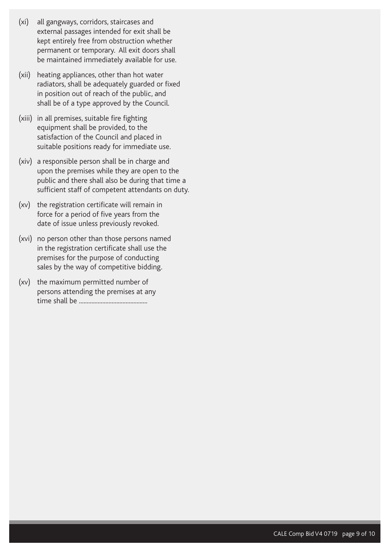- (xi) all gangways, corridors, staircases and external passages intended for exit shall be kept entirely free from obstruction whether permanent or temporary. All exit doors shall be maintained immediately available for use.
- (xii) heating appliances, other than hot water radiators, shall be adequately guarded or fixed in position out of reach of the public, and shall be of a type approved by the Council.
- (xiii) in all premises, suitable fire fighting equipment shall be provided, to the satisfaction of the Council and placed in suitable positions ready for immediate use.
- (xiv) a responsible person shall be in charge and upon the premises while they are open to the public and there shall also be during that time a sufficient staff of competent attendants on duty.
- (xv) the registration certificate will remain in force for a period of five years from the date of issue unless previously revoked.
- (xvi) no person other than those persons named in the registration certificate shall use the premises for the purpose of conducting sales by the way of competitive bidding.
- (xv) the maximum permitted number of persons attending the premises at any time shall be ............................................